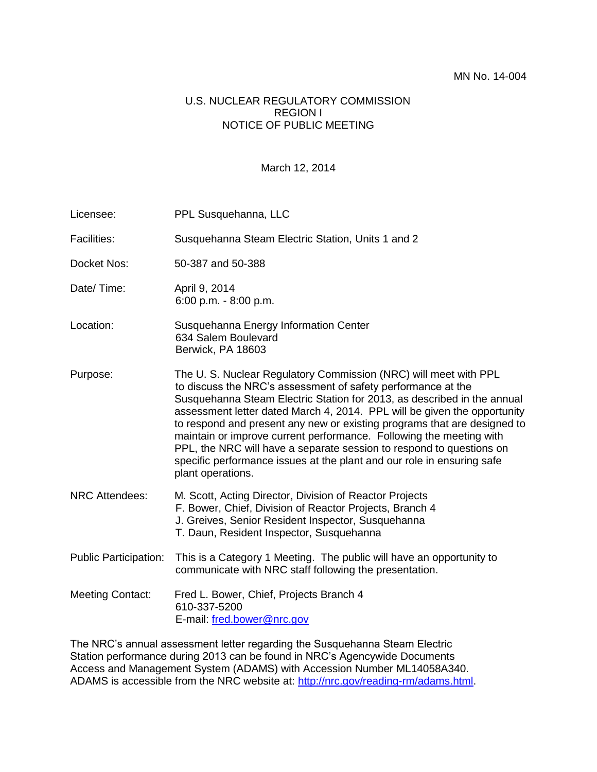#### U.S. NUCLEAR REGULATORY COMMISSION REGION I NOTICE OF PUBLIC MEETING

#### March 12, 2014

| Licensee:                    | PPL Susquehanna, LLC                                                                                                                                                                                                                                                                                                                                                                                                                                                                                                                                                                                              |
|------------------------------|-------------------------------------------------------------------------------------------------------------------------------------------------------------------------------------------------------------------------------------------------------------------------------------------------------------------------------------------------------------------------------------------------------------------------------------------------------------------------------------------------------------------------------------------------------------------------------------------------------------------|
| <b>Facilities:</b>           | Susquehanna Steam Electric Station, Units 1 and 2                                                                                                                                                                                                                                                                                                                                                                                                                                                                                                                                                                 |
| Docket Nos:                  | 50-387 and 50-388                                                                                                                                                                                                                                                                                                                                                                                                                                                                                                                                                                                                 |
| Date/Time:                   | April 9, 2014<br>6:00 p.m. $-8:00$ p.m.                                                                                                                                                                                                                                                                                                                                                                                                                                                                                                                                                                           |
| Location:                    | Susquehanna Energy Information Center<br>634 Salem Boulevard<br>Berwick, PA 18603                                                                                                                                                                                                                                                                                                                                                                                                                                                                                                                                 |
| Purpose:                     | The U. S. Nuclear Regulatory Commission (NRC) will meet with PPL<br>to discuss the NRC's assessment of safety performance at the<br>Susquehanna Steam Electric Station for 2013, as described in the annual<br>assessment letter dated March 4, 2014. PPL will be given the opportunity<br>to respond and present any new or existing programs that are designed to<br>maintain or improve current performance. Following the meeting with<br>PPL, the NRC will have a separate session to respond to questions on<br>specific performance issues at the plant and our role in ensuring safe<br>plant operations. |
| <b>NRC Attendees:</b>        | M. Scott, Acting Director, Division of Reactor Projects<br>F. Bower, Chief, Division of Reactor Projects, Branch 4<br>J. Greives, Senior Resident Inspector, Susquehanna<br>T. Daun, Resident Inspector, Susquehanna                                                                                                                                                                                                                                                                                                                                                                                              |
| <b>Public Participation:</b> | This is a Category 1 Meeting. The public will have an opportunity to<br>communicate with NRC staff following the presentation.                                                                                                                                                                                                                                                                                                                                                                                                                                                                                    |
| <b>Meeting Contact:</b>      | Fred L. Bower, Chief, Projects Branch 4<br>610-337-5200<br>E-mail: fred.bower@nrc.gov                                                                                                                                                                                                                                                                                                                                                                                                                                                                                                                             |

The NRC's annual assessment letter regarding the Susquehanna Steam Electric Station performance during 2013 can be found in NRC's Agencywide Documents Access and Management System (ADAMS) with Accession Number ML14058A340. ADAMS is accessible from the NRC website at: http://nrc.gov/reading-rm/adams.html.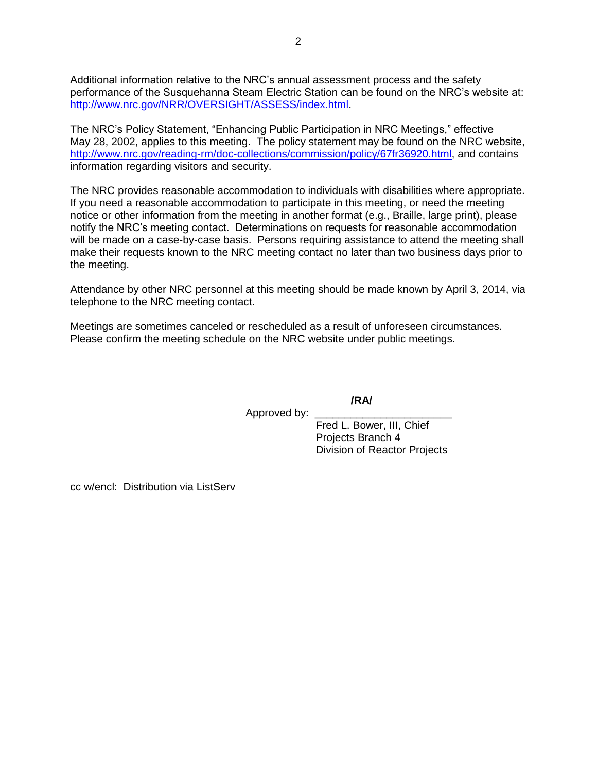Additional information relative to the NRC's annual assessment process and the safety performance of the Susquehanna Steam Electric Station can be found on the NRC's website at: [http://www.nrc.gov/NRR/OVERSIGHT/ASSESS/index.html.](http://www.nrc.gov/NRR/OVERSIGHT/ASSESS/index.html)

The NRC's Policy Statement, "Enhancing Public Participation in NRC Meetings," effective May 28, 2002, applies to this meeting. The policy statement may be found on the NRC website, [http://www.nrc.gov/reading-rm/doc-collections/commission/policy/67fr36920.html,](http://www.nrc.gov/reading-rm/doc-collections/commission/policy/67fr36920.html) and contains information regarding visitors and security.

The NRC provides reasonable accommodation to individuals with disabilities where appropriate. If you need a reasonable accommodation to participate in this meeting, or need the meeting notice or other information from the meeting in another format (e.g., Braille, large print), please notify the NRC's meeting contact. Determinations on requests for reasonable accommodation will be made on a case-by-case basis. Persons requiring assistance to attend the meeting shall make their requests known to the NRC meeting contact no later than two business days prior to the meeting.

Attendance by other NRC personnel at this meeting should be made known by April 3, 2014, via telephone to the NRC meeting contact.

Meetings are sometimes canceled or rescheduled as a result of unforeseen circumstances. Please confirm the meeting schedule on the NRC website under public meetings.

**/RA/**

Approved by:

Fred L. Bower, III, Chief Projects Branch 4 Division of Reactor Projects

cc w/encl: Distribution via ListServ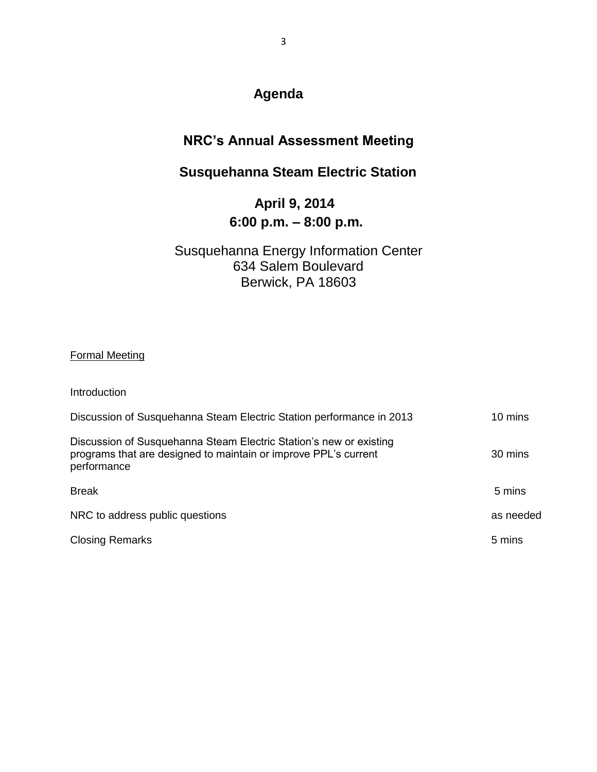# **Agenda**

### **NRC's Annual Assessment Meeting**

# **Susquehanna Steam Electric Station**

# **April 9, 2014 6:00 p.m. – 8:00 p.m.**

#### Susquehanna Energy Information Center 634 Salem Boulevard Berwick, PA 18603

#### Formal Meeting

| Introduction                                                                                                                                         |           |
|------------------------------------------------------------------------------------------------------------------------------------------------------|-----------|
| Discussion of Susquehanna Steam Electric Station performance in 2013                                                                                 | 10 mins   |
| Discussion of Susquehanna Steam Electric Station's new or existing<br>programs that are designed to maintain or improve PPL's current<br>performance | 30 mins   |
| <b>Break</b>                                                                                                                                         | 5 mins    |
| NRC to address public questions                                                                                                                      | as needed |
| <b>Closing Remarks</b>                                                                                                                               | 5 mins    |